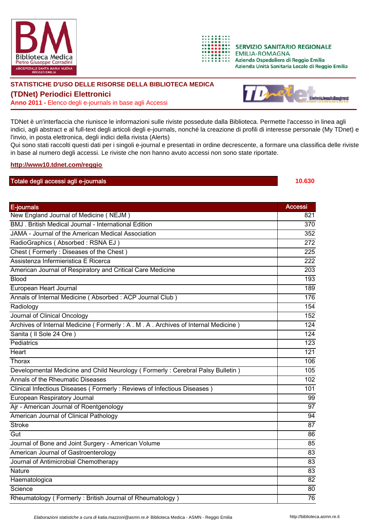



**SERVIZIO SANITARIO REGIONALE EMILIA-ROMAGNA** Azienda Ospedaliera di Reggio Emilia Azienda Unità Sanitaria Locale di Reggio Emilia

## **STATISTICHE D'USO DELLE RISORSE DELLA BIBLIOTECA MEDICA**

**(TDNet) Periodici Elettronici**

**Anno 2011 -** Elenco degli e-journals in base agli Accessi



TDNet è un'interfaccia che riunisce le informazioni sulle riviste possedute dalla Biblioteca. Permette l'accesso in linea agli indici, agli abstract e al full-text degli articoli degli e-journals, nonché la creazione di profili di interesse personale (My TDnet) e l'invio, in posta elettronica, degli indici della rivista (Alerts)

Qui sono stati raccolti questi dati per i singoli e-journal e presentati in ordine decrescente, a formare una classifica delle riviste in base al numero degli accessi. Le riviste che non hanno avuto accessi non sono state riportate.

## **http://www10.tdnet.com/reggio**

## Totale degli accessi agli e-journals **10.630**

| E-journals                                                                       | <b>Accessi</b>   |
|----------------------------------------------------------------------------------|------------------|
| New England Journal of Medicine (NEJM)                                           | 821              |
| BMJ, British Medical Journal - International Edition                             | 370              |
| JAMA - Journal of the American Medical Association                               | 352              |
| RadioGraphics (Absorbed: RSNA EJ)                                                | 272              |
| Chest (Formerly: Diseases of the Chest)                                          | 225              |
| Assistenza Infermieristica E Ricerca                                             | $\overline{222}$ |
| American Journal of Respiratory and Critical Care Medicine                       | $\overline{203}$ |
| <b>Blood</b>                                                                     | 193              |
| European Heart Journal                                                           | 189              |
| Annals of Internal Medicine (Absorbed: ACP Journal Club)                         | 176              |
| Radiology                                                                        | 154              |
| Journal of Clinical Oncology                                                     | 152              |
| Archives of Internal Medicine (Formerly: A. M. A. Archives of Internal Medicine) | 124              |
| Sanita (Il Sole 24 Ore)                                                          | 124              |
| Pediatrics                                                                       | 123              |
| Heart                                                                            | $\overline{121}$ |
| Thorax                                                                           | 106              |
| Developmental Medicine and Child Neurology (Formerly: Cerebral Palsy Bulletin)   | 105              |
| Annals of the Rheumatic Diseases                                                 | 102              |
| Clinical Infectious Diseases (Formerly: Reviews of Infectious Diseases)          | 101              |
| European Respiratory Journal                                                     | 99               |
| Ajr - American Journal of Roentgenology                                          | $\overline{97}$  |
| American Journal of Clinical Pathology                                           | 94               |
| <b>Stroke</b>                                                                    | $\overline{87}$  |
| Gut                                                                              | 86               |
| Journal of Bone and Joint Surgery - American Volume                              | 85               |
| American Journal of Gastroenterology                                             | 83               |
| Journal of Antimicrobial Chemotherapy                                            | 83               |
| <b>Nature</b>                                                                    | 83               |
| Haematologica                                                                    | 82               |
| Science                                                                          | 80               |
| Rheumatology (Formerly: British Journal of Rheumatology)                         | 76               |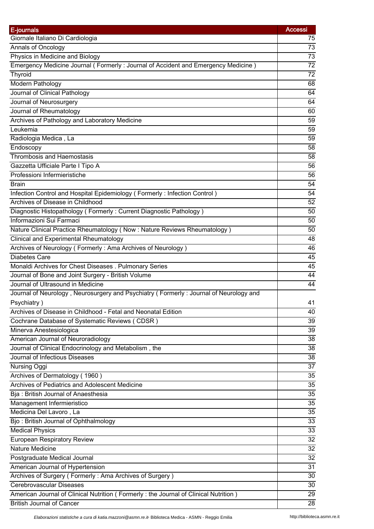| E-journals                                                                                                    | <b>Accessi</b>  |
|---------------------------------------------------------------------------------------------------------------|-----------------|
| Giornale Italiano Di Cardiologia                                                                              | 75              |
| Annals of Oncology                                                                                            | 73              |
| Physics in Medicine and Biology                                                                               | 73              |
| Emergency Medicine Journal (Formerly: Journal of Accident and Emergency Medicine)                             | $\overline{72}$ |
| Thyroid                                                                                                       | 72              |
| Modern Pathology                                                                                              | 68              |
| Journal of Clinical Pathology                                                                                 | 64              |
| Journal of Neurosurgery                                                                                       | 64              |
| Journal of Rheumatology                                                                                       | 60              |
| Archives of Pathology and Laboratory Medicine                                                                 | 59              |
| Leukemia                                                                                                      | 59              |
| Radiologia Medica, La                                                                                         | 59              |
| Endoscopy                                                                                                     | 58              |
| <b>Thrombosis and Haemostasis</b>                                                                             | 58              |
| Gazzetta Ufficiale Parte I Tipo A                                                                             | 56              |
| Professioni Infermieristiche                                                                                  | 56              |
|                                                                                                               | 54              |
| <b>Brain</b>                                                                                                  |                 |
| Infection Control and Hospital Epidemiology (Formerly: Infection Control)<br>Archives of Disease in Childhood | 54              |
|                                                                                                               | 52              |
| Diagnostic Histopathology (Formerly: Current Diagnostic Pathology)                                            | 50              |
| Informazioni Sui Farmaci                                                                                      | 50              |
| Nature Clinical Practice Rheumatology (Now: Nature Reviews Rheumatology)                                      | 50              |
| <b>Clinical and Experimental Rheumatology</b>                                                                 | 48              |
| Archives of Neurology (Formerly: Ama Archives of Neurology)                                                   | 46              |
| <b>Diabetes Care</b>                                                                                          | 45              |
| Monaldi Archives for Chest Diseases . Pulmonary Series                                                        | 45              |
| Journal of Bone and Joint Surgery - British Volume                                                            | 44              |
| Journal of Ultrasound in Medicine                                                                             | 44              |
| Journal of Neurology, Neurosurgery and Psychiatry (Formerly: Journal of Neurology and                         |                 |
| Psychiatry)                                                                                                   | 41              |
| Archives of Disease in Childhood - Fetal and Neonatal Edition                                                 | 40              |
| Cochrane Database of Systematic Reviews (CDSR)                                                                | 39              |
| Minerva Anestesiologica                                                                                       | 39              |
| American Journal of Neuroradiology                                                                            | 38              |
| Journal of Clinical Endocrinology and Metabolism, the                                                         | 38              |
| Journal of Infectious Diseases                                                                                | 38              |
| Nursing Oggi                                                                                                  | 37              |
| Archives of Dermatology (1960)                                                                                | $\overline{35}$ |
| Archives of Pediatrics and Adolescent Medicine                                                                | 35              |
| Bja: British Journal of Anaesthesia                                                                           | 35              |
| Management Infermieristico                                                                                    | 35              |
| Medicina Del Lavoro, La                                                                                       | 35              |
| Bjo: British Journal of Ophthalmology                                                                         | 33              |
| <b>Medical Physics</b>                                                                                        | 33              |
| <b>European Respiratory Review</b>                                                                            | $\overline{32}$ |
| <b>Nature Medicine</b>                                                                                        | 32              |
| Postgraduate Medical Journal                                                                                  | 32              |
| American Journal of Hypertension                                                                              | $\overline{31}$ |
| Archives of Surgery (Formerly: Ama Archives of Surgery)                                                       | 30              |
| Cerebrovascular Diseases                                                                                      | 30              |
| American Journal of Clinical Nutrition (Formerly: the Journal of Clinical Nutrition)                          | 29              |
| <b>British Journal of Cancer</b>                                                                              | 28              |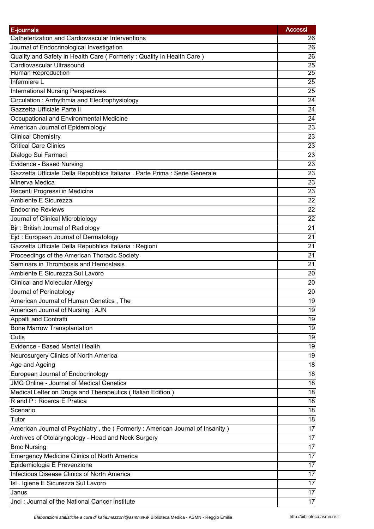| E-journals                                                                   | <b>Accessi</b>  |
|------------------------------------------------------------------------------|-----------------|
| Catheterization and Cardiovascular Interventions                             | 26              |
| Journal of Endocrinological Investigation                                    | 26              |
| Quality and Safety in Health Care (Formerly: Quality in Health Care)         | 26              |
| Cardiovascular Ultrasound                                                    | $\overline{25}$ |
| <b>Human Reproduction</b>                                                    | 25              |
| Infermiere L                                                                 | 25              |
| <b>International Nursing Perspectives</b>                                    | 25              |
| Circulation: Arrhythmia and Electrophysiology                                | 24              |
| Gazzetta Ufficiale Parte ii                                                  | 24              |
| Occupational and Environmental Medicine                                      | 24              |
| American Journal of Epidemiology                                             | $\overline{23}$ |
| <b>Clinical Chemistry</b>                                                    | 23              |
| <b>Critical Care Clinics</b>                                                 | 23              |
| Dialogo Sui Farmaci                                                          | 23              |
| Evidence - Based Nursing                                                     | 23              |
| Gazzetta Ufficiale Della Repubblica Italiana . Parte Prima : Serie Generale  | 23              |
| Minerva Medica                                                               | 23              |
| Recenti Progressi in Medicina                                                | $\overline{23}$ |
| Ambiente E Sicurezza                                                         | 22              |
| <b>Endocrine Reviews</b>                                                     | $\overline{22}$ |
| Journal of Clinical Microbiology                                             | 22              |
| Bjr: British Journal of Radiology                                            | 21              |
| Ejd: European Journal of Dermatology                                         | 21              |
| Gazzetta Ufficiale Della Repubblica Italiana : Regioni                       | 21              |
| Proceedings of the American Thoracic Society                                 | 21              |
| Seminars in Thrombosis and Hemostasis                                        | 21              |
| Ambiente E Sicurezza Sul Lavoro                                              | 20              |
| <b>Clinical and Molecular Allergy</b>                                        | 20              |
| Journal of Perinatology                                                      | 20              |
| American Journal of Human Genetics, The                                      | 19              |
| American Journal of Nursing: AJN                                             | 19              |
| Appalti and Contratti                                                        | 19              |
| <b>Bone Marrow Transplantation</b>                                           | 19              |
| Cutis                                                                        | 19              |
| Evidence - Based Mental Health                                               | 19              |
| Neurosurgery Clinics of North America                                        | 19              |
| Age and Ageing                                                               | 18              |
| European Journal of Endocrinology                                            | 18              |
| <b>JMG Online - Journal of Medical Genetics</b>                              | 18              |
| Medical Letter on Drugs and Therapeutics (Italian Edition)                   | 18              |
| R and P: Ricerca E Pratica                                                   | 18              |
| Scenario                                                                     | 18              |
| Tutor                                                                        | 18              |
|                                                                              | 17              |
| American Journal of Psychiatry, the (Formerly: American Journal of Insanity) | 17              |
| Archives of Otolaryngology - Head and Neck Surgery<br><b>Bmc Nursing</b>     | 17              |
|                                                                              |                 |
| Emergency Medicine Clinics of North America                                  | 17              |
| Epidemiologia E Prevenzione                                                  | 17              |
| Infectious Disease Clinics of North America                                  | 17              |
| Isl . Igiene E Sicurezza Sul Lavoro                                          | 17              |
| Janus                                                                        | 17              |
| Jnci: Journal of the National Cancer Institute                               | 17              |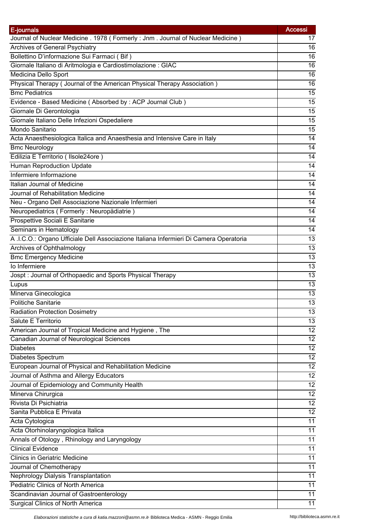| E-journals                                                                             | <b>Accessi</b>  |
|----------------------------------------------------------------------------------------|-----------------|
| Journal of Nuclear Medicine . 1978 (Formerly: Jnm. Journal of Nuclear Medicine)        | 17              |
| Archives of General Psychiatry                                                         | 16              |
| Bollettino D'informazione Sui Farmaci (Bif)                                            | 16              |
| Giornale Italiano di Aritmologia e Cardiostimolazione : GIAC                           | 16              |
| Medicina Dello Sport                                                                   | 16              |
| Physical Therapy (Journal of the American Physical Therapy Association)                | 16              |
| <b>Bmc Pediatrics</b>                                                                  | 15              |
| Evidence - Based Medicine (Absorbed by : ACP Journal Club)                             | 15              |
| Giornale Di Gerontologia                                                               | 15              |
| Giornale Italiano Delle Infezioni Ospedaliere                                          | 15              |
| Mondo Sanitario                                                                        | 15              |
| Acta Anaesthesiologica Italica and Anaesthesia and Intensive Care in Italy             | $\overline{14}$ |
| <b>Bmc Neurology</b>                                                                   | 14              |
| Edilizia E Territorio (Ilsole24ore)                                                    | 14              |
| <b>Human Reproduction Update</b>                                                       | 14              |
| Infermiere Informazione                                                                | 14              |
| Italian Journal of Medicine                                                            | 14              |
| Journal of Rehabilitation Medicine                                                     | 14              |
| Neu - Organo Dell Associazione Nazionale Infermieri                                    | 14              |
| Neuropediatrics (Formerly: Neuropädiatrie)                                             | 14              |
| Prospettive Sociali E Sanitarie                                                        | 14              |
| Seminars in Hematology                                                                 | 14              |
| A .I.C.O.: Organo Ufficiale Dell Associazione Italiana Infermieri Di Camera Operatoria | 13              |
| <b>Archives of Ophthalmology</b>                                                       | 13              |
| <b>Bmc Emergency Medicine</b>                                                          | 13              |
| lo Infermiere                                                                          | 13              |
| Jospt: Journal of Orthopaedic and Sports Physical Therapy                              | 13              |
| Lupus                                                                                  | 13              |
| Minerva Ginecologica                                                                   | 13              |
| <b>Politiche Sanitarie</b>                                                             | $\overline{13}$ |
| <b>Radiation Protection Dosimetry</b>                                                  | 13              |
| Salute E Territorio                                                                    | 13              |
| American Journal of Tropical Medicine and Hygiene, The                                 | 12              |
| Canadian Journal of Neurological Sciences                                              | $\overline{12}$ |
| <b>Diabetes</b>                                                                        | 12              |
| Diabetes Spectrum                                                                      | 12              |
| European Journal of Physical and Rehabilitation Medicine                               | 12              |
| Journal of Asthma and Allergy Educators                                                | $\overline{12}$ |
| Journal of Epidemiology and Community Health                                           | 12              |
| Minerva Chirurgica                                                                     | 12              |
| Rivista Di Psichiatria                                                                 | 12              |
| Sanita Pubblica E Privata                                                              | 12              |
| Acta Cytologica                                                                        | 11              |
|                                                                                        | 11              |
| Acta Otorhinolaryngologica Italica                                                     | 11              |
| Annals of Otology, Rhinology and Laryngology<br><b>Clinical Evidence</b>               |                 |
|                                                                                        | 11              |
| <b>Clinics in Geriatric Medicine</b>                                                   | 11              |
| Journal of Chemotherapy                                                                | 11              |
| Nephrology Dialysis Transplantation                                                    | 11              |
| Pediatric Clinics of North America                                                     | 11              |
| Scandinavian Journal of Gastroenterology                                               | 11              |
| Surgical Clinics of North America                                                      | 11              |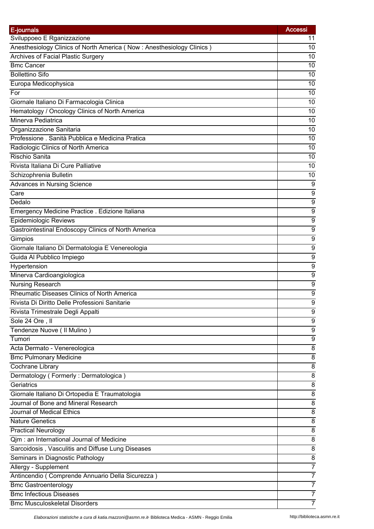| E-journals                                                            | <b>Accessi</b>   |
|-----------------------------------------------------------------------|------------------|
| Sviluppoeo E Rganizzazione                                            | 11               |
| Anesthesiology Clinics of North America (Now: Anesthesiology Clinics) | 10               |
| Archives of Facial Plastic Surgery                                    | 10               |
| <b>Bmc Cancer</b>                                                     | 10               |
| <b>Bollettino Sifo</b>                                                | 10               |
| Europa Medicophysica                                                  | 10               |
| For                                                                   | 10               |
| Giornale Italiano Di Farmacologia Clinica                             | 10               |
| Hematology / Oncology Clinics of North America                        | 10               |
| Minerva Pediatrica                                                    | 10               |
| Organizzazione Sanitaria                                              | 10               |
| Professione . Sanità Pubblica e Medicina Pratica                      | 10               |
| Radiologic Clinics of North America                                   | 10               |
| Rischio Sanita                                                        | 10               |
| Rivista Italiana Di Cure Palliative                                   | 10               |
| Schizophrenia Bulletin                                                | 10               |
| <b>Advances in Nursing Science</b>                                    | 9                |
|                                                                       |                  |
| Care                                                                  | 9                |
| Dedalo                                                                | $\overline{9}$   |
| Emergency Medicine Practice . Edizione Italiana                       | $\boldsymbol{9}$ |
| Epidemiologic Reviews                                                 | 9                |
| Gastrointestinal Endoscopy Clinics of North America                   | 9                |
| Gimpios                                                               | $\overline{9}$   |
| Giornale Italiano Di Dermatologia E Venereologia                      | 9                |
| Guida Al Pubblico Impiego                                             | $\boldsymbol{9}$ |
| Hypertension                                                          | $\boldsymbol{9}$ |
| Minerva Cardioangiologica                                             | 9                |
| Nursing Research                                                      | 9                |
| Rheumatic Diseases Clinics of North America                           | 9                |
| Rivista Di Diritto Delle Professioni Sanitarie                        | $\overline{9}$   |
| Rivista Trimestrale Degli Appalti                                     | 9                |
| Sole 24 Ore, II                                                       | 9                |
| Tendenze Nuove (Il Mulino)                                            | 9                |
| Tumori                                                                | 9                |
| Acta Dermato - Venereologica                                          | 8                |
| <b>Bmc Pulmonary Medicine</b>                                         | 8                |
| Cochrane Library                                                      | 8                |
| Dermatology (Formerly: Dermatologica)                                 | 8                |
| Geriatrics                                                            | 8                |
| Giornale Italiano Di Ortopedia E Traumatologia                        | 8                |
| Journal of Bone and Mineral Research                                  | 8                |
| Journal of Medical Ethics                                             | 8                |
| <b>Nature Genetics</b>                                                | 8                |
| <b>Practical Neurology</b>                                            | 8                |
| Qjm: an International Journal of Medicine                             | 8                |
| Sarcoidosis, Vasculitis and Diffuse Lung Diseases                     | 8                |
| Seminars in Diagnostic Pathology                                      | 8                |
|                                                                       | 7                |
| Allergy - Supplement                                                  | 7                |
| Antincendio (Comprende Annuario Della Sicurezza)                      |                  |
| <b>Bmc Gastroenterology</b>                                           | 7                |
| <b>Bmc Infectious Diseases</b>                                        | 7                |
| <b>Bmc Musculoskeletal Disorders</b>                                  | 7                |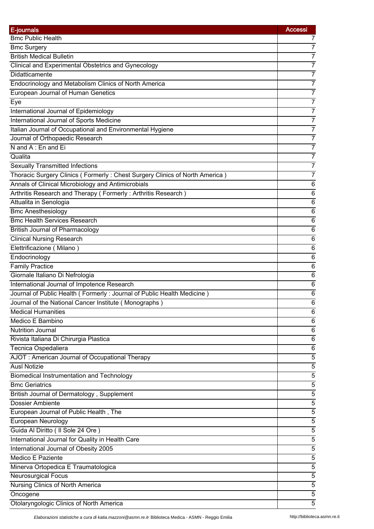| E-journals                                                                     | <b>Accessi</b> |
|--------------------------------------------------------------------------------|----------------|
| <b>Bmc Public Health</b>                                                       | 7              |
| <b>Bmc Surgery</b>                                                             | 7              |
| <b>British Medical Bulletin</b>                                                | 7              |
| Clinical and Experimental Obstetrics and Gynecology                            | 7              |
| Didatticamente                                                                 | 7              |
| Endocrinology and Metabolism Clinics of North America                          | 7              |
| European Journal of Human Genetics                                             | $\overline{7}$ |
| Eye                                                                            | 7              |
| International Journal of Epidemiology                                          | $\overline{7}$ |
| International Journal of Sports Medicine                                       | 7              |
| Italian Journal of Occupational and Environmental Hygiene                      | $\overline{7}$ |
| Journal of Orthopaedic Research                                                | 7              |
| N and A: En and Ei                                                             | 7              |
| Qualita                                                                        | $\overline{7}$ |
| <b>Sexually Transmitted Infections</b>                                         | 7              |
| Thoracic Surgery Clinics (Formerly: Chest Surgery Clinics of North America)    | 7              |
| Annals of Clinical Microbiology and Antimicrobials                             | $\,6$          |
| Arthritis Research and Therapy (Formerly: Arthritis Research)                  | $\,6$          |
| Attualita in Senologia                                                         | $\overline{6}$ |
| <b>Bmc Anesthesiology</b>                                                      | $\,6$          |
| <b>Bmc Health Services Research</b>                                            | $\,6$          |
| <b>British Journal of Pharmacology</b>                                         | 6              |
| <b>Clinical Nursing Research</b>                                               | $\overline{6}$ |
| Elettrificazione (Milano)                                                      | $\,6$          |
| Endocrinology                                                                  | $\,6$          |
|                                                                                |                |
| <b>Family Practice</b>                                                         | $\,6$<br>$\,6$ |
| Giornale Italiano Di Nefrologia<br>International Journal of Impotence Research | 6              |
| Journal of Public Health (Formerly: Journal of Public Health Medicine)         |                |
| Journal of the National Cancer Institute (Monographs)                          | 6<br>6         |
| <b>Medical Humanities</b>                                                      | 6              |
| Medico E Bambino                                                               |                |
| <b>Nutrition Journal</b>                                                       | 6              |
| Rivista Italiana Di Chirurgia Plastica                                         | 6<br>6         |
|                                                                                |                |
| Tecnica Ospedaliera                                                            | 6              |
| AJOT: American Journal of Occupational Therapy                                 | 5              |
| <b>Ausl Notizie</b>                                                            | 5              |
| <b>Biomedical Instrumentation and Technology</b>                               | $\overline{5}$ |
| <b>Bmc Geriatrics</b>                                                          | $\sqrt{5}$     |
| British Journal of Dermatology, Supplement                                     | $\sqrt{5}$     |
| <b>Dossier Ambiente</b>                                                        | 5              |
| European Journal of Public Health, The                                         | 5              |
| European Neurology                                                             | $\overline{5}$ |
| Guida Al Diritto (Il Sole 24 Ore)                                              | 5              |
| International Journal for Quality in Health Care                               | 5              |
| International Journal of Obesity 2005                                          | $\sqrt{5}$     |
| Medico E Paziente                                                              | 5              |
| Minerva Ortopedica E Traumatologica                                            | 5              |
| <b>Neurosurgical Focus</b>                                                     | $\overline{5}$ |
| Nursing Clinics of North America                                               | 5              |
| Oncogene                                                                       | 5              |
| Otolaryngologic Clinics of North America                                       | 5              |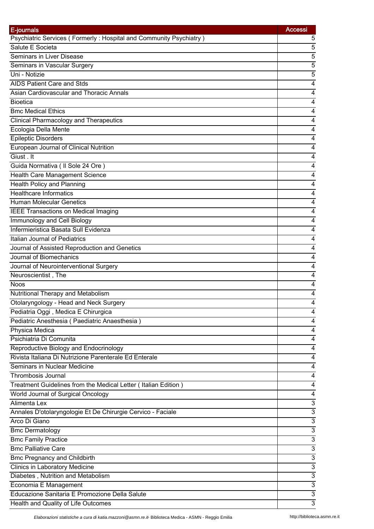| E-journals                                                         | <b>Accessi</b>                 |
|--------------------------------------------------------------------|--------------------------------|
| Psychiatric Services (Formerly: Hospital and Community Psychiatry) | 5                              |
| Salute E Societa                                                   | 5                              |
| Seminars in Liver Disease                                          | 5                              |
| Seminars in Vascular Surgery                                       | 5                              |
| Uni - Notizie                                                      | 5                              |
| AIDS Patient Care and Stds                                         | 4                              |
| Asian Cardiovascular and Thoracic Annals                           | 4                              |
| <b>Bioetica</b>                                                    | 4                              |
| <b>Bmc Medical Ethics</b>                                          | 4                              |
| <b>Clinical Pharmacology and Therapeutics</b>                      | 4                              |
| Ecologia Della Mente                                               | 4                              |
| <b>Epileptic Disorders</b>                                         | 4                              |
| European Journal of Clinical Nutrition                             | 4                              |
| Giust . It                                                         | 4                              |
| Guida Normativa ( Il Sole 24 Ore )                                 | 4                              |
| Health Care Management Science                                     | 4                              |
| <b>Health Policy and Planning</b>                                  | 4                              |
| <b>Healthcare Informatics</b>                                      | 4                              |
| <b>Human Molecular Genetics</b>                                    | 4                              |
| <b>IEEE Transactions on Medical Imaging</b>                        | 4                              |
| Immunology and Cell Biology                                        | 4                              |
| Infermieristica Basata Sull Evidenza                               | 4                              |
| Italian Journal of Pediatrics                                      | 4                              |
| Journal of Assisted Reproduction and Genetics                      | 4                              |
| Journal of Biomechanics                                            | 4                              |
| Journal of Neurointerventional Surgery                             | 4                              |
| Neuroscientist, The                                                | 4                              |
| <b>Noos</b>                                                        | 4                              |
| Nutritional Therapy and Metabolism                                 | 4                              |
| Otolaryngology - Head and Neck Surgery                             | 4                              |
| Pediatria Oggi, Medica E Chirurgica                                | 4                              |
| Pediatric Anesthesia (Paediatric Anaesthesia)                      | 4                              |
| Physica Medica                                                     | 4                              |
| Psichiatria Di Comunita                                            | 4                              |
| Reproductive Biology and Endocrinology                             | 4                              |
| Rivista Italiana Di Nutrizione Parenterale Ed Enterale             | 4                              |
| Seminars in Nuclear Medicine                                       | 4                              |
| Thrombosis Journal                                                 | 4                              |
| Treatment Guidelines from the Medical Letter (Italian Edition)     | 4                              |
| World Journal of Surgical Oncology                                 | 4                              |
| Alimenta Lex                                                       | 3                              |
| Annales D'otolaryngologie Et De Chirurgie Cervico - Faciale        | $\ensuremath{\mathsf{3}}$      |
| Arco Di Giano                                                      | $\overline{3}$                 |
| <b>Bmc Dermatology</b>                                             | $\ensuremath{\mathsf{3}}$      |
|                                                                    |                                |
| <b>Bmc Family Practice</b><br><b>Bmc Palliative Care</b>           | 3<br>$\ensuremath{\mathsf{3}}$ |
|                                                                    |                                |
| <b>Bmc Pregnancy and Childbirth</b>                                | 3                              |
| Clinics in Laboratory Medicine                                     | $\overline{3}$                 |
| Diabetes, Nutrition and Metabolism                                 | $\overline{3}$                 |
| Economia E Management                                              | $\ensuremath{\mathsf{3}}$      |
| Educazione Sanitaria E Promozione Della Salute                     | 3                              |
| Health and Quality of Life Outcomes                                | 3                              |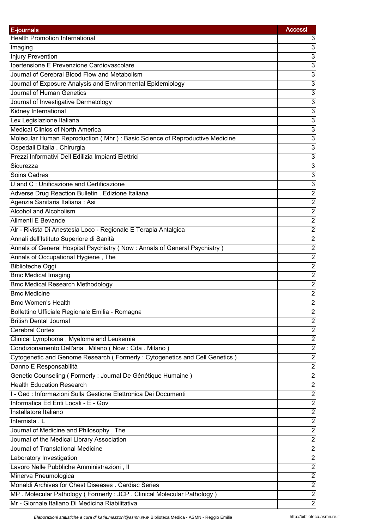| E-journals                                                                                       | <b>Accessi</b>                     |
|--------------------------------------------------------------------------------------------------|------------------------------------|
| <b>Health Promotion International</b>                                                            | 3                                  |
| Imaging                                                                                          | 3                                  |
| <b>Injury Prevention</b>                                                                         | 3                                  |
| Ipertensione E Prevenzione Cardiovascolare                                                       | 3                                  |
| Journal of Cerebral Blood Flow and Metabolism                                                    | 3                                  |
| Journal of Exposure Analysis and Environmental Epidemiology                                      | $\overline{3}$                     |
| Journal of Human Genetics                                                                        | $\overline{3}$                     |
| Journal of Investigative Dermatology                                                             | $\overline{3}$                     |
| Kidney International                                                                             | $\overline{3}$                     |
| Lex Legislazione Italiana                                                                        | 3                                  |
| <b>Medical Clinics of North America</b>                                                          | 3                                  |
| Molecular Human Reproduction (Mhr): Basic Science of Reproductive Medicine                       | $\overline{3}$                     |
| Ospedali Ditalia . Chirurgia                                                                     | $\overline{3}$                     |
| Prezzi Informativi Dell Edilizia Impianti Elettrici                                              | $\overline{3}$                     |
| Sicurezza                                                                                        | 3                                  |
| Soins Cadres                                                                                     | 3                                  |
| U and C: Unificazione and Certificazione                                                         | $\overline{3}$                     |
| Adverse Drug Reaction Bulletin . Edizione Italiana                                               | $\overline{2}$                     |
| Agenzia Sanitaria Italiana: Asi                                                                  | $\overline{2}$                     |
| Alcohol and Alcoholism                                                                           | $\overline{2}$                     |
| Alimenti E Bevande                                                                               | $\overline{2}$                     |
| Alr - Rivista Di Anestesia Loco - Regionale E Terapia Antalgica                                  | $\overline{2}$                     |
| Annali dell'Istituto Superiore di Sanità                                                         | $\overline{2}$                     |
| Annals of General Hospital Psychiatry (Now: Annals of General Psychiatry)                        | $\overline{2}$                     |
| Annals of Occupational Hygiene, The                                                              | $\overline{c}$                     |
| <b>Biblioteche Oggi</b>                                                                          | $\overline{2}$                     |
| <b>Bmc Medical Imaging</b>                                                                       | $\overline{2}$                     |
| <b>Bmc Medical Research Methodology</b>                                                          | $\overline{2}$                     |
| <b>Bmc Medicine</b>                                                                              | $\boldsymbol{2}$                   |
| <b>Bmc Women's Health</b>                                                                        | $\overline{2}$                     |
| Bollettino Ufficiale Regionale Emilia - Romagna                                                  | $\boldsymbol{2}$                   |
| <b>British Dental Journal</b>                                                                    | $\sqrt{2}$                         |
| <b>Cerebral Cortex</b>                                                                           | $\overline{2}$                     |
| Clinical Lymphoma, Myeloma and Leukemia                                                          | $\overline{2}$                     |
| Condizionamento Dell'aria . Milano (Now : Cda . Milano)                                          | $\overline{2}$                     |
| Cytogenetic and Genome Research (Formerly: Cytogenetics and Cell Genetics)                       | $\overline{2}$                     |
|                                                                                                  |                                    |
| Danno E Responsabilità                                                                           | $\boldsymbol{2}$<br>$\overline{2}$ |
| Genetic Counseling (Formerly : Journal De Génétique Humaine)<br><b>Health Education Research</b> | $\overline{2}$                     |
|                                                                                                  |                                    |
| I - Ged : Informazioni Sulla Gestione Elettronica Dei Documenti                                  | $\overline{2}$                     |
| Informatica Ed Enti Locali - E - Gov                                                             | $\overline{2}$                     |
| Installatore Italiano                                                                            | $\overline{2}$                     |
| Internista, L                                                                                    | $\overline{2}$                     |
| Journal of Medicine and Philosophy, The                                                          | $\overline{2}$                     |
| Journal of the Medical Library Association                                                       | $\overline{2}$                     |
| Journal of Translational Medicine                                                                | $\boldsymbol{2}$                   |
| Laboratory Investigation                                                                         | $\overline{2}$                     |
| Lavoro Nelle Pubbliche Amministrazioni, Il                                                       | $\overline{2}$                     |
| Minerva Pneumologica                                                                             | $\overline{2}$                     |
| Monaldi Archives for Chest Diseases . Cardiac Series                                             | $\overline{2}$                     |
| MP. Molecular Pathology (Formerly: JCP. Clinical Molecular Pathology)                            | $\overline{2}$                     |
| Mr - Giornale Italiano Di Medicina Riabilitativa                                                 | $\overline{2}$                     |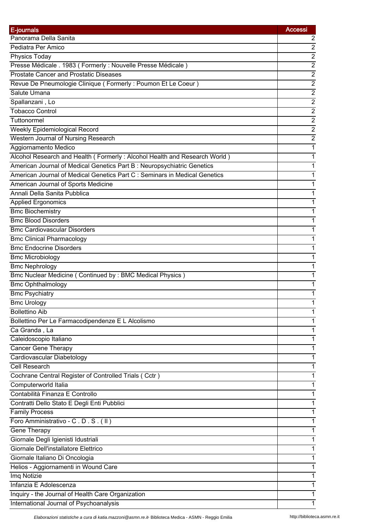| E-journals                                                                 | <b>Accessi</b>   |
|----------------------------------------------------------------------------|------------------|
| Panorama Della Sanita                                                      | 2                |
| Pediatra Per Amico                                                         | $\overline{c}$   |
| Physics Today                                                              | $\overline{2}$   |
| Presse Médicale . 1983 (Formerly : Nouvelle Presse Médicale)               | $\overline{2}$   |
| <b>Prostate Cancer and Prostatic Diseases</b>                              | $\overline{c}$   |
| Revue De Pneumologie Clinique (Formerly: Poumon Et Le Coeur)               | $\boldsymbol{2}$ |
| Salute Umana                                                               | $\overline{2}$   |
| Spallanzani, Lo                                                            | $\overline{2}$   |
| <b>Tobacco Control</b>                                                     | $\overline{2}$   |
| Tuttonormel                                                                | $\overline{2}$   |
| Weekly Epidemiological Record                                              | $\overline{2}$   |
| <b>Western Journal of Nursing Research</b>                                 | $\overline{2}$   |
| Aggiornamento Medico                                                       | 1                |
| Alcohol Research and Health (Formerly: Alcohol Health and Research World)  | 1                |
| American Journal of Medical Genetics Part B: Neuropsychiatric Genetics     | 1                |
| American Journal of Medical Genetics Part C : Seminars in Medical Genetics | 1                |
| American Journal of Sports Medicine                                        | 1                |
| Annali Della Sanita Pubblica                                               | 1                |
| <b>Applied Ergonomics</b>                                                  | 1                |
| <b>Bmc Biochemistry</b>                                                    | 1                |
| <b>Bmc Blood Disorders</b>                                                 | 1                |
| <b>Bmc Cardiovascular Disorders</b>                                        | 1                |
| <b>Bmc Clinical Pharmacology</b>                                           | 1                |
| <b>Bmc Endocrine Disorders</b>                                             | 1                |
| <b>Bmc Microbiology</b>                                                    | 1                |
| <b>Bmc Nephrology</b>                                                      | 1                |
| Bmc Nuclear Medicine (Continued by: BMC Medical Physics)                   | 1                |
| <b>Bmc Ophthalmology</b>                                                   | 1                |
| <b>Bmc Psychiatry</b>                                                      | 1                |
| <b>Bmc Urology</b>                                                         | 1                |
| <b>Bollettino Aib</b>                                                      | 1                |
| Bollettino Per Le Farmacodipendenze E L Alcolismo                          | 1                |
| Ca Granda, La                                                              | 1                |
| Caleidoscopio Italiano                                                     | 1                |
| <b>Cancer Gene Therapy</b>                                                 | 1                |
| Cardiovascular Diabetology                                                 |                  |
| Cell Research                                                              | 1                |
| Cochrane Central Register of Controlled Trials (Cctr)                      | 1                |
|                                                                            | 1                |
| Computerworld Italia                                                       | 1                |
| Contabilità Finanza E Controllo                                            | 1                |
| Contratti Dello Stato E Degli Enti Pubblici                                | 1                |
| <b>Family Process</b>                                                      | 1                |
| Foro Amministrativo - C.D.S. (II)                                          | 1                |
| Gene Therapy                                                               | 1                |
| Giornale Degli Igienisti Idustriali                                        | 1                |
| Giornale Dell'installatore Elettrico                                       | 1                |
| Giornale Italiano Di Oncologia                                             | 1                |
| Helios - Aggiornamenti in Wound Care                                       | 1                |
| Imq Notizie                                                                | 1                |
| Infanzia E Adolescenza                                                     | 1                |
| Inquiry - the Journal of Health Care Organization                          |                  |
| International Journal of Psychoanalysis                                    | 1                |